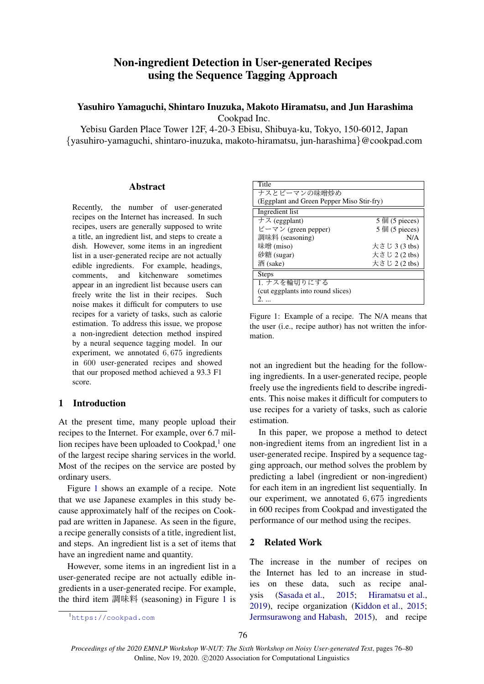# Non-ingredient Detection in User-generated Recipes using the Sequence Tagging Approach

# Yasuhiro Yamaguchi, Shintaro Inuzuka, Makoto Hiramatsu, and Jun Harashima Cookpad Inc.

Yebisu Garden Place Tower 12F, 4-20-3 Ebisu, Shibuya-ku, Tokyo, 150-6012, Japan *{*yasuhiro-yamaguchi, shintaro-inuzuka, makoto-hiramatsu, jun-harashima*}*@cookpad.com

### Abstract

Recently, the number of user-generated recipes on the Internet has increased. In such recipes, users are generally supposed to write a title, an ingredient list, and steps to create a dish. However, some items in an ingredient list in a user-generated recipe are not actually edible ingredients. For example, headings, comments, and kitchenware sometimes appear in an ingredient list because users can freely write the list in their recipes. Such noise makes it difficult for computers to use recipes for a variety of tasks, such as calorie estimation. To address this issue, we propose a non-ingredient detection method inspired by a neural sequence tagging model. In our experiment, we annotated 6*,* 675 ingredients in 600 user-generated recipes and showed that our proposed method achieved a 93.3 F1 score.

# 1 Introduction

At the present time, many people upload their recipes to the Internet. For example, over 6.7 million recipes have been uploaded to  $Cookpad<sub>1</sub><sup>1</sup>$  one of the largest recipe sharing services in the world. Most of the recipes on the service are posted by ordinary users.

Figure 1 shows an example of a recipe. Note that we use Japanese examples in this study because approximately half of the recipes on Cookpad are written in Japanese. As seen in the figure, a recipe generally consists of a title, ingredient list, and steps. An ingredient list is a set of items that have an ingredient name and quantity.

However, some items in an ingredient list in a user-generated recipe are not actually edible ingredients in a user-generated recipe. For example, the third item 調味料 (seasoning) in Figure 1 is not an ingredient but the heading for the following ingredients. In a user-generated recipe, people freely use the ingredients field to describe ingredients. This noise makes it difficult for computers to use recipes for a variety of tasks, such as calorie estimation.

In this paper, we propose a method to detect non-ingredient items from an ingredient list in a user-generated recipe. Inspired by a sequence tagging approach, our method solves the problem by predicting a label (ingredient or non-ingredient) for each item in an ingredient list sequentially. In our experiment, we annotated 6*,* 675 ingredients in 600 recipes from Cookpad and investigated the performance of our method using the recipes.

# 2 Related Work

The increase in the number of recipes on the Internet has led to an increase in studies on these data, such as recipe analysis (Sasada et al., 2015; Hiramatsu et al., 2019), recipe organization (Kiddon et al., 2015; Jermsurawong and Habash, 2015), and recipe

**Title** ナスとピーマンの味噌炒め (Eggplant and Green Pepper Miso Stir-fry) Ingredient list  $\overline{\tau}$   $\overline{\tau}$  (eggplant) 5個 (5 pieces) ピーマン (green pepper) 5個 (5 pieces) 調味料 (seasoning) N/A 味噌 (miso) 大さじ 3 (3 tbs) 砂糖 (sugar) 大さじ 2 (2 tbs) 酒 (sake) 大さじ 2 (2 tbs) Steps 1. ナスを輪切りにする (cut eggplants into round slices) 2. ...

Figure 1: Example of a recipe. The N/A means that the user (i.e., recipe author) has not written the information.

<sup>1</sup>https://cookpad.com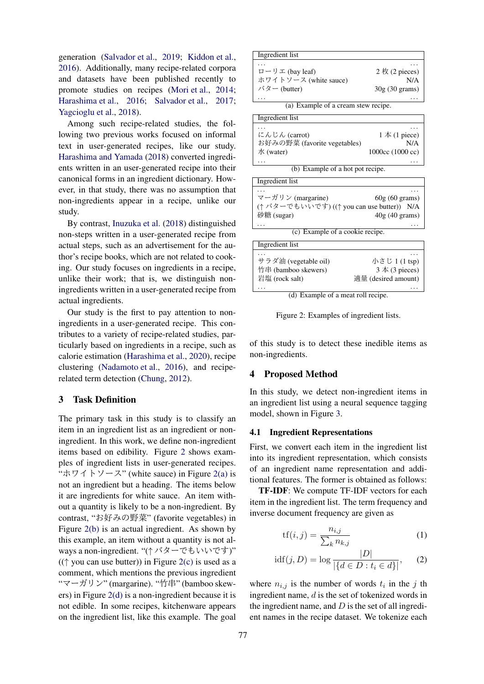generation (Salvador et al., 2019; Kiddon et al., 2016). Additionally, many recipe-related corpora and datasets have been published recently to promote studies on recipes (Mori et al., 2014; Harashima et al., 2016; Salvador et al., 2017; Yagcioglu et al., 2018).

Among such recipe-related studies, the following two previous works focused on informal text in user-generated recipes, like our study. Harashima and Yamada (2018) converted ingredients written in an user-generated recipe into their canonical forms in an ingredient dictionary. However, in that study, there was no assumption that non-ingredients appear in a recipe, unlike our study.

By contrast, Inuzuka et al. (2018) distinguished non-steps written in a user-generated recipe from actual steps, such as an advertisement for the author's recipe books, which are not related to cooking. Our study focuses on ingredients in a recipe, unlike their work; that is, we distinguish noningredients written in a user-generated recipe from actual ingredients.

Our study is the first to pay attention to noningredients in a user-generated recipe. This contributes to a variety of recipe-related studies, particularly based on ingredients in a recipe, such as calorie estimation (Harashima et al., 2020), recipe clustering (Nadamoto et al., 2016), and reciperelated term detection (Chung, 2012).

## 3 Task Definition

The primary task in this study is to classify an item in an ingredient list as an ingredient or noningredient. In this work, we define non-ingredient items based on edibility. Figure 2 shows examples of ingredient lists in user-generated recipes. "ホワイトソース" (white sauce) in Figure 2(a) is not an ingredient but a heading. The items below it are ingredients for white sauce. An item without a quantity is likely to be a non-ingredient. By contrast, "お好みの野菜" (favorite vegetables) in Figure 2(b) is an actual ingredient. As shown by this example, an item without a quantity is not always a non-ingredient. "(*↑* バターでもいいです)" ((*↑* you can use butter)) in Figure 2(c) is used as a comment, which mentions the previous ingredient "マーガリン" (margarine). "竹串" (bamboo skewers) in Figure 2(d) is a non-ingredient because it is not edible. In some recipes, kitchenware appears on the ingredient list, like this example. The goal

Ingredient list . . . . . .

| ローリエ (bay leaf)       | $2 \nmid (2 \text{ pieces})$ |
|-----------------------|------------------------------|
| ホワイトソース (white sauce) | N/A                          |
| バター (butter)          | $30g(30 \text{ grams})$      |
| $\cdots$              | $\cdots$                     |

(a) Example of a cream stew recipe.

| Ingredient list |
|-----------------|
|-----------------|

| .<br>にんじん (carrot)           | $1 \nightharpoonup (1 \text{ piece})$ |
|------------------------------|---------------------------------------|
| お好みの野菜 (favorite vegetables) | N/A                                   |
| $\mathcal{R}$ (water)        | 1000cc (1000 cc)                      |
| $\cdots$                     | .                                     |

(b) Example of a hot pot recipe.

Ingredient list . . . . . .  $\forall \neg \forall \forall \forall$  (margarine) 60g (60 grams) (*↑* バターでもいいです) ((*↑* you can use butter)) N/A  $40g(40 \text{ grams})$ . . . . . .

(c) Example of a cookie recipe.

| Ingredient list                                                    |                                                               |
|--------------------------------------------------------------------|---------------------------------------------------------------|
| .<br>サラダ油 (vegetable oil)<br>竹串 (bamboo skewers)<br>岩塩 (rock salt) | 小さじ 1 (1 tsp)<br>$3 \nless (3 pieces)$<br>適量 (desired amount) |
|                                                                    |                                                               |

(d) Example of a meat roll recipe.

Figure 2: Examples of ingredient lists.

of this study is to detect these inedible items as non-ingredients.

#### 4 Proposed Method

In this study, we detect non-ingredient items in an ingredient list using a neural sequence tagging model, shown in Figure 3.

### 4.1 Ingredient Representations

First, we convert each item in the ingredient list into its ingredient representation, which consists of an ingredient name representation and additional features. The former is obtained as follows:

TF-IDF: We compute TF-IDF vectors for each item in the ingredient list. The term frequency and inverse document frequency are given as

$$
tf(i,j) = \frac{n_{i,j}}{\sum_{k} n_{k,j}}\tag{1}
$$

$$
idf(j, D) = \log \frac{|D|}{|\{d \in D : t_i \in d\}|}, \quad (2)
$$

where  $n_{i,j}$  is the number of words  $t_i$  in the *j* th ingredient name, *d* is the set of tokenized words in the ingredient name, and *D* is the set of all ingredient names in the recipe dataset. We tokenize each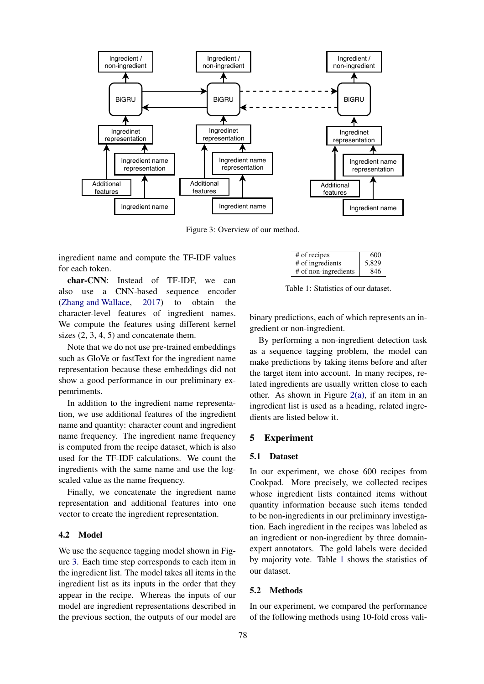

Figure 3: Overview of our method.

ingredient name and compute the TF-IDF values for each token.

char-CNN: Instead of TF-IDF, we can also use a CNN-based sequence encoder (Zhang and Wallace, 2017) to obtain the character-level features of ingredient names. We compute the features using different kernel sizes  $(2, 3, 4, 5)$  and concatenate them.

Note that we do not use pre-trained embeddings such as GloVe or fastText for the ingredient name representation because these embeddings did not show a good performance in our preliminary expemriments.

In addition to the ingredient name representation, we use additional features of the ingredient name and quantity: character count and ingredient name frequency. The ingredient name frequency is computed from the recipe dataset, which is also used for the TF-IDF calculations. We count the ingredients with the same name and use the logscaled value as the name frequency.

Finally, we concatenate the ingredient name representation and additional features into one vector to create the ingredient representation.

### 4.2 Model

We use the sequence tagging model shown in Figure 3. Each time step corresponds to each item in the ingredient list. The model takes all items in the ingredient list as its inputs in the order that they appear in the recipe. Whereas the inputs of our model are ingredient representations described in the previous section, the outputs of our model are

| # of recipes         | 600   |
|----------------------|-------|
| # of ingredients     | 5,829 |
| # of non-ingredients | 846   |

Table 1: Statistics of our dataset.

binary predictions, each of which represents an ingredient or non-ingredient.

By performing a non-ingredient detection task as a sequence tagging problem, the model can make predictions by taking items before and after the target item into account. In many recipes, related ingredients are usually written close to each other. As shown in Figure  $2(a)$ , if an item in an ingredient list is used as a heading, related ingredients are listed below it.

#### 5 Experiment

#### 5.1 Dataset

In our experiment, we chose 600 recipes from Cookpad. More precisely, we collected recipes whose ingredient lists contained items without quantity information because such items tended to be non-ingredients in our preliminary investigation. Each ingredient in the recipes was labeled as an ingredient or non-ingredient by three domainexpert annotators. The gold labels were decided by majority vote. Table 1 shows the statistics of our dataset.

# 5.2 Methods

In our experiment, we compared the performance of the following methods using 10-fold cross vali-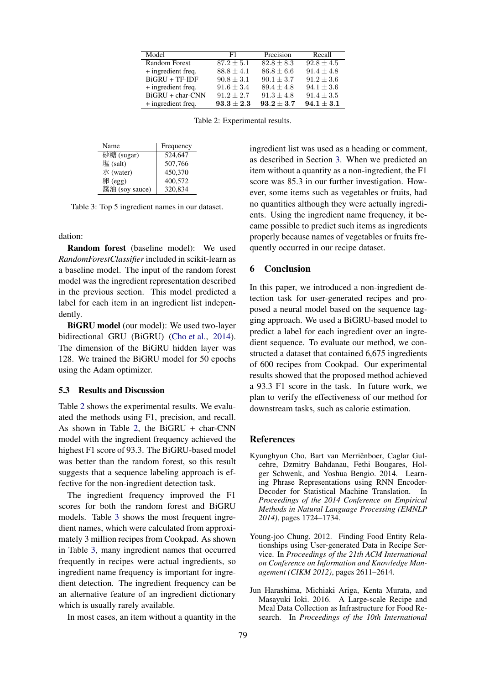| Model                | F1             | Precision      | Recall         |
|----------------------|----------------|----------------|----------------|
| <b>Random Forest</b> | $87.2 + 5.1$   | $82.8 \pm 8.3$ | $92.8 \pm 4.5$ |
| + ingredient freq.   | $88.8 \pm 4.1$ | $86.8 \pm 6.6$ | $91.4 \pm 4.8$ |
| $BiGRU + TF-IDF$     | $90.8 \pm 3.1$ | $90.1 + 3.7$   | $91.2 \pm 3.6$ |
| + ingredient freq.   | $91.6 \pm 3.4$ | $89.4 \pm 4.8$ | $94.1 \pm 3.6$ |
| BiGRU + char-CNN     | $91.2 + 2.7$   | $91.3 + 4.8$   | $91.4 \pm 3.5$ |
| + ingredient freq.   | $93.3 \pm 2.3$ | $93.2 + 3.7$   | $94.1 \pm 3.1$ |

Table 2: Experimental results.

| Name           | Frequency |
|----------------|-----------|
| 砂糖 (sugar)     | 524,647   |
| 塩 (salt)       | 507,766   |
| 水 (water)      | 450,370   |
| 卵 (egg)        | 400,572   |
| 醤油 (soy sauce) | 320,834   |

Table 3: Top 5 ingredient names in our dataset.

dation:

Random forest (baseline model): We used *RandomForestClassifier* included in scikit-learn as a baseline model. The input of the random forest model was the ingredient representation described in the previous section. This model predicted a label for each item in an ingredient list independently.

BiGRU model (our model): We used two-layer bidirectional GRU (BiGRU) (Cho et al., 2014). The dimension of the BiGRU hidden layer was 128. We trained the BiGRU model for 50 epochs using the Adam optimizer.

### 5.3 Results and Discussion

Table 2 shows the experimental results. We evaluated the methods using F1, precision, and recall. As shown in Table 2, the BiGRU + char-CNN model with the ingredient frequency achieved the highest F1 score of 93.3. The BiGRU-based model was better than the random forest, so this result suggests that a sequence labeling approach is effective for the non-ingredient detection task.

The ingredient frequency improved the F1 scores for both the random forest and BiGRU models. Table 3 shows the most frequent ingredient names, which were calculated from approximately 3 million recipes from Cookpad. As shown in Table 3, many ingredient names that occurred frequently in recipes were actual ingredients, so ingredient name frequency is important for ingredient detection. The ingredient frequency can be an alternative feature of an ingredient dictionary which is usually rarely available.

In most cases, an item without a quantity in the

ingredient list was used as a heading or comment, as described in Section 3. When we predicted an item without a quantity as a non-ingredient, the F1 score was 85.3 in our further investigation. However, some items such as vegetables or fruits, had no quantities although they were actually ingredients. Using the ingredient name frequency, it became possible to predict such items as ingredients properly because names of vegetables or fruits frequently occurred in our recipe dataset.

#### 6 Conclusion

In this paper, we introduced a non-ingredient detection task for user-generated recipes and proposed a neural model based on the sequence tagging approach. We used a BiGRU-based model to predict a label for each ingredient over an ingredient sequence. To evaluate our method, we constructed a dataset that contained 6,675 ingredients of 600 recipes from Cookpad. Our experimental results showed that the proposed method achieved a 93.3 F1 score in the task. In future work, we plan to verify the effectiveness of our method for downstream tasks, such as calorie estimation.

#### References

- Kyunghyun Cho, Bart van Merrienboer, Caglar Gul- ¨ cehre, Dzmitry Bahdanau, Fethi Bougares, Holger Schwenk, and Yoshua Bengio. 2014. Learning Phrase Representations using RNN Encoder-Decoder for Statistical Machine Translation. In *Proceedings of the 2014 Conference on Empirical Methods in Natural Language Processing (EMNLP 2014)*, pages 1724–1734.
- Young-joo Chung. 2012. Finding Food Entity Relationships using User-generated Data in Recipe Service. In *Proceedings of the 21th ACM International on Conference on Information and Knowledge Management (CIKM 2012)*, pages 2611–2614.
- Jun Harashima, Michiaki Ariga, Kenta Murata, and Masayuki Ioki. 2016. A Large-scale Recipe and Meal Data Collection as Infrastructure for Food Research. In *Proceedings of the 10th International*